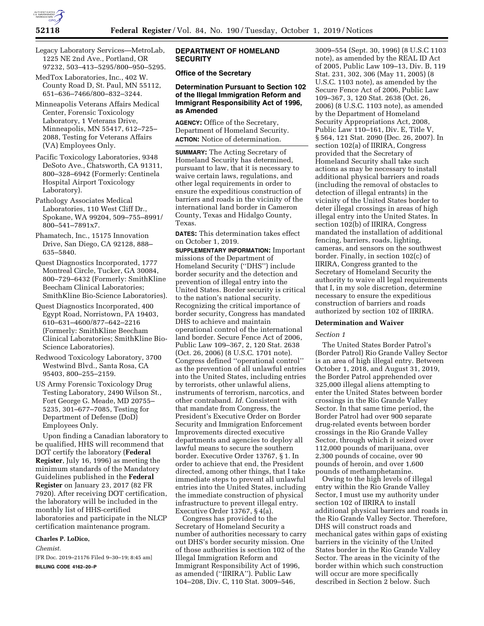

Legacy Laboratory Services—MetroLab, 1225 NE 2nd Ave., Portland, OR 97232, 503–413–5295/800–950–5295.

MedTox Laboratories, Inc., 402 W. County Road D, St. Paul, MN 55112, 651–636–7466/800–832–3244.

Minneapolis Veterans Affairs Medical Center, Forensic Toxicology Laboratory, 1 Veterans Drive, Minneapolis, MN 55417, 612–725– 2088, Testing for Veterans Affairs (VA) Employees Only.

Pacific Toxicology Laboratories, 9348 DeSoto Ave., Chatsworth, CA 91311, 800–328–6942 (Formerly: Centinela Hospital Airport Toxicology Laboratory).

Pathology Associates Medical Laboratories, 110 West Cliff Dr., Spokane, WA 99204, 509–755–8991/ 800–541–7891x7.

Phamatech, Inc., 15175 Innovation Drive, San Diego, CA 92128, 888– 635–5840.

Quest Diagnostics Incorporated, 1777 Montreal Circle, Tucker, GA 30084, 800–729–6432 (Formerly: SmithKline Beecham Clinical Laboratories; SmithKline Bio-Science Laboratories).

Quest Diagnostics Incorporated, 400 Egypt Road, Norristown, PA 19403, 610–631–4600/877–642–2216 (Formerly: SmithKline Beecham Clinical Laboratories; SmithKline Bio-Science Laboratories).

Redwood Toxicology Laboratory, 3700 Westwind Blvd., Santa Rosa, CA 95403, 800–255–2159.

US Army Forensic Toxicology Drug Testing Laboratory, 2490 Wilson St., Fort George G. Meade, MD 20755– 5235, 301–677–7085, Testing for Department of Defense (DoD) Employees Only.

Upon finding a Canadian laboratory to be qualified, HHS will recommend that DOT certify the laboratory (**Federal Register**, July 16, 1996) as meeting the minimum standards of the Mandatory Guidelines published in the **Federal Register** on January 23, 2017 (82 FR 7920). After receiving DOT certification, the laboratory will be included in the monthly list of HHS-certified laboratories and participate in the NLCP certification maintenance program.

### **Charles P. LoDico,**

*Chemist.* 

[FR Doc. 2019–21176 Filed 9–30–19; 8:45 am] **BILLING CODE 4162–20–P** 

# **DEPARTMENT OF HOMELAND SECURITY**

# **Office of the Secretary**

# **Determination Pursuant to Section 102 of the Illegal Immigration Reform and Immigrant Responsibility Act of 1996, as Amended**

**AGENCY:** Office of the Secretary, Department of Homeland Security. **ACTION:** Notice of determination.

**SUMMARY:** The Acting Secretary of Homeland Security has determined, pursuant to law, that it is necessary to waive certain laws, regulations, and other legal requirements in order to ensure the expeditious construction of barriers and roads in the vicinity of the international land border in Cameron County, Texas and Hidalgo County, Texas.

**DATES:** This determination takes effect on October 1, 2019.

**SUPPLEMENTARY INFORMATION:** Important missions of the Department of Homeland Security (''DHS'') include border security and the detection and prevention of illegal entry into the United States. Border security is critical to the nation's national security. Recognizing the critical importance of border security, Congress has mandated DHS to achieve and maintain operational control of the international land border. Secure Fence Act of 2006, Public Law 109–367, 2, 120 Stat. 2638 (Oct. 26, 2006) (8 U.S.C. 1701 note). Congress defined ''operational control'' as the prevention of all unlawful entries into the United States, including entries by terrorists, other unlawful aliens, instruments of terrorism, narcotics, and other contraband. *Id.* Consistent with that mandate from Congress, the President's Executive Order on Border Security and Immigration Enforcement Improvements directed executive departments and agencies to deploy all lawful means to secure the southern border. Executive Order 13767, § 1. In order to achieve that end, the President directed, among other things, that I take immediate steps to prevent all unlawful entries into the United States, including the immediate construction of physical infrastructure to prevent illegal entry. Executive Order 13767, § 4(a).

Congress has provided to the Secretary of Homeland Security a number of authorities necessary to carry out DHS's border security mission. One of those authorities is section 102 of the Illegal Immigration Reform and Immigrant Responsibility Act of 1996, as amended (''IIRIRA''). Public Law 104–208, Div. C, 110 Stat. 3009–546,

3009–554 (Sept. 30, 1996) (8 U.S.C 1103 note), as amended by the REAL ID Act of 2005, Public Law 109–13, Div. B, 119 Stat. 231, 302, 306 (May 11, 2005) (8 U.S.C. 1103 note), as amended by the Secure Fence Act of 2006, Public Law 109–367, 3, 120 Stat. 2638 (Oct. 26, 2006) (8 U.S.C. 1103 note), as amended by the Department of Homeland Security Appropriations Act, 2008, Public Law 110–161, Div. E, Title V, § 564, 121 Stat. 2090 (Dec. 26, 2007). In section 102(a) of IIRIRA, Congress provided that the Secretary of Homeland Security shall take such actions as may be necessary to install additional physical barriers and roads (including the removal of obstacles to detection of illegal entrants) in the vicinity of the United States border to deter illegal crossings in areas of high illegal entry into the United States. In section 102(b) of IIRIRA, Congress mandated the installation of additional fencing, barriers, roads, lighting, cameras, and sensors on the southwest border. Finally, in section 102(c) of IIRIRA, Congress granted to the Secretary of Homeland Security the authority to waive all legal requirements that I, in my sole discretion, determine necessary to ensure the expeditious construction of barriers and roads authorized by section 102 of IIRIRA.

#### **Determination and Waiver**

### *Section 1*

The United States Border Patrol's (Border Patrol) Rio Grande Valley Sector is an area of high illegal entry. Between October 1, 2018, and August 31, 2019, the Border Patrol apprehended over 325,000 illegal aliens attempting to enter the United States between border crossings in the Rio Grande Valley Sector. In that same time period, the Border Patrol had over 900 separate drug-related events between border crossings in the Rio Grande Valley Sector, through which it seized over 112,000 pounds of marijuana, over 2,300 pounds of cocaine, over 90 pounds of heroin, and over 1,600 pounds of methamphetamine.

Owing to the high levels of illegal entry within the Rio Grande Valley Sector, I must use my authority under section 102 of IIRIRA to install additional physical barriers and roads in the Rio Grande Valley Sector. Therefore, DHS will construct roads and mechanical gates within gaps of existing barriers in the vicinity of the United States border in the Rio Grande Valley Sector. The areas in the vicinity of the border within which such construction will occur are more specifically described in Section 2 below. Such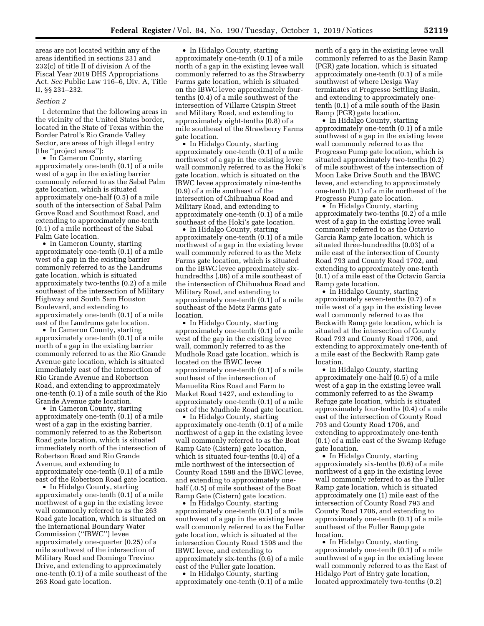areas are not located within any of the areas identified in sections 231 and 232(c) of title II of division A of the Fiscal Year 2019 DHS Appropriations Act. *See* Public Law 116–6, Div. A, Title II, §§ 231–232.

#### *Section 2*

I determine that the following areas in the vicinity of the United States border, located in the State of Texas within the Border Patrol's Rio Grande Valley Sector, are areas of high illegal entry (the ''project areas''):

• In Cameron County, starting approximately one-tenth (0.1) of a mile west of a gap in the existing barrier commonly referred to as the Sabal Palm gate location, which is situated approximately one-half (0.5) of a mile south of the intersection of Sabal Palm Grove Road and Southmost Road, and extending to approximately one-tenth (0.1) of a mile northeast of the Sabal Palm Gate location.

• In Cameron County, starting approximately one-tenth (0.1) of a mile west of a gap in the existing barrier commonly referred to as the Landrums gate location, which is situated approximately two-tenths (0.2) of a mile southeast of the intersection of Military Highway and South Sam Houston Boulevard, and extending to approximately one-tenth (0.1) of a mile east of the Landrums gate location.

• In Cameron County, starting approximately one-tenth (0.1) of a mile north of a gap in the existing barrier commonly referred to as the Rio Grande Avenue gate location, which is situated immediately east of the intersection of Rio Grande Avenue and Robertson Road, and extending to approximately one-tenth (0.1) of a mile south of the Rio Grande Avenue gate location.

• In Cameron County, starting approximately one-tenth (0.1) of a mile west of a gap in the existing barrier, commonly referred to as the Robertson Road gate location, which is situated immediately north of the intersection of Robertson Road and Rio Grande Avenue, and extending to approximately one-tenth (0.1) of a mile east of the Robertson Road gate location.

• In Hidalgo County, starting approximately one-tenth (0.1) of a mile northwest of a gap in the existing levee wall commonly referred to as the 263 Road gate location, which is situated on the International Boundary Water Commission (''IBWC'') levee approximately one-quarter (0.25) of a mile southwest of the intersection of Military Road and Domingo Trevino Drive, and extending to approximately one-tenth (0.1) of a mile southeast of the 263 Road gate location.

• In Hidalgo County, starting approximately one-tenth (0.1) of a mile north of a gap in the existing levee wall commonly referred to as the Strawberry Farms gate location, which is situated on the IBWC levee approximately fourtenths (0.4) of a mile southwest of the intersection of Villarre Crispin Street and Military Road, and extending to approximately eight-tenths (0.8) of a mile southeast of the Strawberry Farms gate location.

• In Hidalgo County, starting approximately one-tenth (0.1) of a mile northwest of a gap in the existing levee wall commonly referred to as the Hoki's gate location, which is situated on the IBWC levee approximately nine-tenths (0.9) of a mile southeast of the intersection of Chihuahua Road and Military Road, and extending to approximately one-tenth (0.1) of a mile southeast of the Hoki's gate location.

• In Hidalgo County, starting approximately one-tenth (0.1) of a mile northwest of a gap in the existing levee wall commonly referred to as the Metz Farms gate location, which is situated on the IBWC levee approximately sixhundredths (.06) of a mile southeast of the intersection of Chihuahua Road and Military Road, and extending to approximately one-tenth (0.1) of a mile southeast of the Metz Farms gate location.

• In Hidalgo County, starting approximately one-tenth (0.1) of a mile west of the gap in the existing levee wall, commonly referred to as the Mudhole Road gate location, which is located on the IBWC levee approximately one-tenth (0.1) of a mile southeast of the intersection of Manuelita Rios Road and Farm to Market Road 1427, and extending to approximately one-tenth (0.1) of a mile east of the Mudhole Road gate location.

• In Hidalgo County, starting approximately one-tenth (0.1) of a mile northwest of a gap in the existing levee wall commonly referred to as the Boat Ramp Gate (Cistern) gate location, which is situated four-tenths (0.4) of a mile northwest of the intersection of County Road 1598 and the IBWC levee, and extending to approximately onehalf (.0.5) of mile southeast of the Boat Ramp Gate (Cistern) gate location.

• In Hidalgo County, starting approximately one-tenth (0.1) of a mile southwest of a gap in the existing levee wall commonly referred to as the Fuller gate location, which is situated at the intersection County Road 1598 and the IBWC levee, and extending to approximately six-tenths (0.6) of a mile east of the Fuller gate location.

• In Hidalgo County, starting approximately one-tenth (0.1) of a mile north of a gap in the existing levee wall commonly referred to as the Basin Ramp (PGR) gate location, which is situated approximately one-tenth (0.1) of a mile southwest of where Desiga Way terminates at Progresso Settling Basin, and extending to approximately onetenth (0.1) of a mile south of the Basin Ramp (PGR) gate location.

• In Hidalgo County, starting approximately one-tenth (0.1) of a mile southwest of a gap in the existing levee wall commonly referred to as the Progresso Pump gate location, which is situated approximately two-tenths (0.2) of mile southwest of the intersection of Moon Lake Drive South and the IBWC levee, and extending to approximately one-tenth (0.1) of a mile northeast of the Progresso Pump gate location.

• In Hidalgo County, starting approximately two-tenths (0.2) of a mile west of a gap in the existing levee wall commonly referred to as the Octavio Garcia Ramp gate location, which is situated three-hundredths (0.03) of a mile east of the intersection of County Road 793 and County Road 1702, and extending to approximately one-tenth (0.1) of a mile east of the Octavio Garcia Ramp gate location.

• In Hidalgo County, starting approximately seven-tenths (0.7) of a mile west of a gap in the existing levee wall commonly referred to as the Beckwith Ramp gate location, which is situated at the intersection of County Road 793 and County Road 1706, and extending to approximately one-tenth of a mile east of the Beckwith Ramp gate location.

• In Hidalgo County, starting approximately one-half (0.5) of a mile west of a gap in the existing levee wall commonly referred to as the Swamp Refuge gate location, which is situated approximately four-tenths (0.4) of a mile east of the intersection of County Road 793 and County Road 1706, and extending to approximately one-tenth (0.1) of a mile east of the Swamp Refuge gate location.

• In Hidalgo County, starting approximately six-tenths (0.6) of a mile northwest of a gap in the existing levee wall commonly referred to as the Fuller Ramp gate location, which is situated approximately one (1) mile east of the intersection of County Road 793 and County Road 1706, and extending to approximately one-tenth (0.1) of a mile southeast of the Fuller Ramp gate location.

• In Hidalgo County, starting approximately one-tenth (0.1) of a mile southwest of a gap in the existing levee wall commonly referred to as the East of Hidalgo Port of Entry gate location, located approximately two-tenths (0.2)